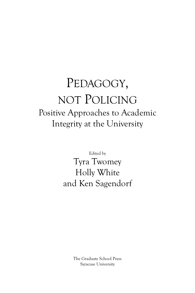# PEDAGOGY, NOT POLICING Positive Approaches to Academic Integrity at the University

Edited by

Tyra Twomey Holly White and Ken Sagendorf

> The Graduate School Press Syracuse University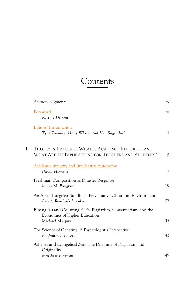# Contents

|   | Acknowledgments                                                                                                   | ix           |
|---|-------------------------------------------------------------------------------------------------------------------|--------------|
|   | Foreword<br>Patrick Drinan                                                                                        | xi           |
|   | Editors' Introduction<br>Tyra Twomey, Holly White, and Ken Sagendorf                                              | $\mathbf{1}$ |
| Ŀ | THEORY IN PRACTICE: WHAT IS ACADEMIC INTEGRITY, AND<br>WHAT ARE ITS IMPLICATIONS FOR TEACHERS AND STUDENTS?       | 5            |
|   | <b>Academic Integrity and Intellectual Autonomy</b><br>David Horacek                                              | 7            |
|   | Freshman Composition as Disaster Response<br>James M. Pangborn                                                    | 19           |
|   | An Air of Integrity: Building a Preventative Classroom Environment<br>Amy S. Roache-Fedchenko                     | 27           |
|   | Buying A's and Counting FTEs: Plagiarism, Consumerism, and the<br>Economics of Higher Education<br>Michael Murphy | 35           |
|   | The Science of Cheating: A Psychologist's Perspective<br>Benjamin J. Lovett                                       | 43           |
|   | Atheists and Evangelical Zeal: The Dilemma of Plagiarism and<br>Originality                                       |              |
|   | Matthew Bertram                                                                                                   | 49           |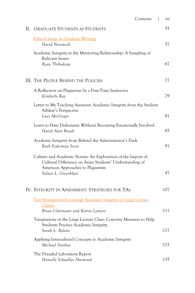|     | Contents<br>$\overline{\phantom{a}}$                                                                                                                                                | vii |
|-----|-------------------------------------------------------------------------------------------------------------------------------------------------------------------------------------|-----|
| II. | <b>GRADUATE STUDENTS AS STUDENTS</b>                                                                                                                                                | 55  |
|     | <b>Ethical Issues in Graduate Writing</b><br>David Nentwick                                                                                                                         | 57  |
|     | Academic Integrity in the Mentoring Relationship: A Sampling of<br>Relevant Issues<br>Ryan Thibodeau                                                                                | 67  |
|     | <b>III. THE PEOPLE BEHIND THE POLICIES</b>                                                                                                                                          | 77  |
|     | A Reflection on Plagiarism by a First-Time Instructor<br>Kimberly Ray                                                                                                               | 79  |
|     | Letter to My Teaching Assistant: Academic Integrity from the Student<br>Athlete's Perspective<br>Lucy McGregor                                                                      | 81  |
|     | Learn to Hate Dishonesty Without Becoming Emotionally Involved<br>David Alan Bozak                                                                                                  | 85  |
|     | Academic Integrity from Behind the Administrator's Desk<br>Ruth Federman Stein                                                                                                      | 91  |
|     | Culture and Academic Norms: An Exploration of the Import of<br>Cultural Difference on Asian Students' Understanding of<br>American Approaches to Plagiarism<br>Sidney L. Greenblatt | 97  |
|     | IV. INTEGRITY IN ASSESSMENT: STRATEGIES FOR TAS                                                                                                                                     | 107 |
|     | Ten Strategies to Encourage Academic Integrity in Large Lecture<br><u>Classes</u><br>Brian Udermann and Karrie Lamers                                                               | 111 |
|     | Temptations in the Large Lecture Class: Concrete Measures to Help<br><b>Students Practice Academic Integrity</b><br>Sarah L. Bolton                                                 | 117 |
|     | Applying Intercultural Concepts to Academic Integrity<br>Michael Smithee                                                                                                            | 125 |
|     | The Dreaded Laboratory Report<br>Danielle Schuehler Sherwood                                                                                                                        | 135 |
|     |                                                                                                                                                                                     |     |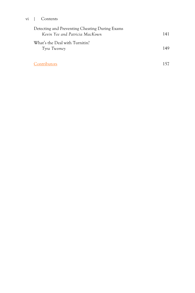#### vi | Contents

| Detecting and Preventing Cheating During Exams |     |
|------------------------------------------------|-----|
| Kevin Yee and Patricia MacKown                 | 141 |
| What's the Deal with Turnitin?<br>Tyra Twomey  | 149 |

[Contributors](#page-36-0) 157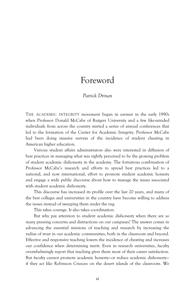### <span id="page-4-0"></span>Foreword

#### *Patrick Drinan*

THE ACADEMIC INTEGRITY movement began in earnest in the early 1990s when Professor Donald McCabe of Rutgers University and a few like-minded individuals from across the country started a series of annual conferences that led to the formation of the Center for Academic Integrity. Professor McCabe had been doing massive surveys of the incidence of student cheating in American higher education.

Various student affairs administrators also were interested in diffusion of best practices in managing what was rightly perceived to be the growing problem of student academic dishonesty in the academy. The fortuitous combination of Professor McCabe's research and efforts to spread best practices led to a national, and now international, effort to promote student academic honesty and engage a wide public discourse about how to manage the issues associated with student academic dishonesty.

This discourse has increased its profile over the last 20 years, and many of the best colleges and universities in the country have become willing to address the issues instead of sweeping them under the rug.

This takes courage. It also takes coordination.

But why pay attention to student academic dishonesty when there are so many pressing concerns and distractions on our campuses? The answer comes in advancing the essential missions of teaching and research by increasing the radius of trust in our academic communities, both in the classroom and beyond. Effective and responsive teaching lowers the incidence of cheating and increases our confidence when determining merit. Even in research universities, faculty overwhelmingly report that teaching gives them most of their career satisfaction. But faculty cannot promote academic honesty—or reduce academic dishonesty if they act like Robinson Crusoes on the desert islands of the classroom. We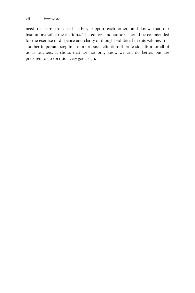need to learn from each other, support each other, and know that our institutions value these efforts. The editors and authors should be commended for the exercise of diligence and clarity of thought exhibited in this volume. It is another important step in a more robust definition of professionalism for all of us as teachers. It shows that we not only know we can do better, but are prepared to do so; this a very good sign.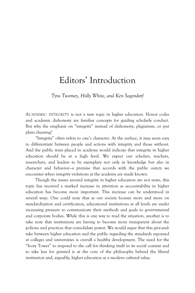### <span id="page-6-0"></span>Editors' Introduction

*Tyra Twomey, Holly White, and Ken Sagendorf*

ACADEMIC INTEGRITY is not a new topic in higher education. Honor codes and academic dishonesty are familiar concepts for guiding scholarly conduct. But why the emphasis on "integrity" instead of dishonesty, plagiarism, or just plain cheating?

"Integrity" often refers to one's character. At the surface, it may seem easy to differentiate between people and actions with integrity and those without. And the public trust placed in academe would indicate that integrity in higher education should be at a high level. We expect our scholars, teachers, researchers, and leaders to be exemplary not only in knowledge but also in character and behavior—a premise that accords with the public outcry we encounter when integrity violations at the academy are made known.

Though the issues around integrity in higher education are not news, this topic has received a marked increase in attention as accountability in higher education has become more important. This increase can be understood in several ways. One could note that as our society focuses more and more on standardization and certification, educational institutions at all levels are under increasing pressure to communicate their methods and goals to governmental and corporate bodies. While this is one way to read the situation, another is to take note that institutions are having to become more transparent about the policies and practices that consolidate power. We would argue that this give-andtake between higher education and the public regarding the standards espoused at colleges and universities is overall a healthy development. The need for the "Ivory Tower" to respond to the call for thinking itself in its social context and to take less for granted is at the core of the philosophy behind the liberal institution and, arguably, higher education as a modern cultural value.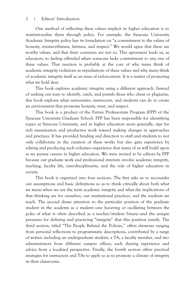#### 2 | Editors' Introduction

One method of reflecting these values implicit in higher education is to institutionalize them through policy. For example, the Syracuse University Academic Integrity policy lays its foundation on "a commitment to the values of honesty, trustworthiness, fairness, and respect." We would agree that these are worthy values, and that their converses are not so. This agreement leads us, as educators, to feeling offended when someone lacks commitment to any one of these values. That reaction is probably at the core of why many think of academic integrity violations as repudiations of these values and why many think of academic integrity itself as an issue of enforcement. It is a matter of protecting what we hold dear.

This book explores academic integrity using a different approach. Instead of seeking out ways to identify, catch, and punish those who cheat or plagiarize, this book explores what universities, instructors, and students can do to create an environment that promotes honesty, trust, and respect.

This book is a product of the Future Professoriate Program (FPP) of the Syracuse University Graduate School. FPP has been responsible for identifying topics at Syracuse University, and in higher education more generally, ripe for rich examination and productive work toward making changes in approaches and practices. It has provided funding and direction to staff and students to not only collaborate in the creation of these works but also gain experience by editing and producing such volumes—experience that many of us will build upon as we pursue careers in higher education. We were invited to be editors by FPP because our graduate work and professional interests involve academic integrity, teaching, faculty life, interdisciplinarity, and the role of higher education in society.

This book is organized into four sections. The first asks us to reconsider our assumptions and basic definitions so as to think critically about both what we mean when we use the term academic integrity and what the implications of that thinking are for ourselves, our institutional practices, and the students we teach. The second draws attention to the particular position of the graduate student in the academy as a student—one hovering or oscillating between the poles of what is often described as a teacher/student binary—and the unique pressures for defining and practicing "integrity" that this position entails. The third section, titled "The People Behind the Policies," offers elements ranging from personal reflections to programmatic descriptions, contributed by a range of writers including an undergraduate student, a TA, a faculty member, and two administrators from different campus offices, each sharing experience and advice from a localized perspective. Finally, the fourth section offers practical strategies for instructors and TAs to apply so as to promote a climate of integrity in their classrooms.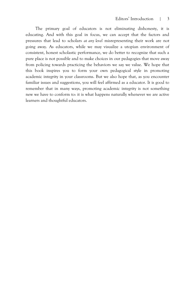The primary goal of educators is not eliminating dishonesty, it is educating. And with this goal in focus, we can accept that the factors and pressures that lead to scholars *at any level* misrepresenting their work are not going away. As educators, while we may visualize a utopian environment of consistent, honest scholastic performance, we do better to recognize that such a pure place is not possible and to make choices in our pedagogies that move away from policing towards practicing the behaviors we say we value. We hope that this book inspires you to form your own pedagogical style in promoting academic integrity in your classrooms. But we also hope that, as you encounter familiar issues and suggestions, you will feel affirmed as a educator. It is good to remember that in many ways, promoting academic integrity is not something new we have to conform to: it is what happens naturally whenever we are active learners and thoughtful educators.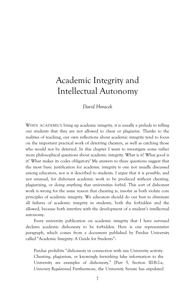## <span id="page-9-0"></span>Academic Integrity and Intellectual Autonomy

#### *David Horacek*

WHEN ACADEMICS bring up academic integrity, it is usually a prelude to telling our students that they are not allowed to cheat or plagiarize. Thanks to the realities of teaching, our own reflections about academic integrity tend to focus on the important practical work of deterring cheaters, as well as catching those who would not be deterred. In this chapter I want to investigate some rather more philosophical questions about academic integrity. What is it? What good is it? What makes its codes obligatory? My answers to these questions suggest that the most basic justification for academic integrity is one not usually discussed among educators, nor is it described to students. I argue that it is possible, and not unusual, for dishonest academic work to be produced without cheating, plagiarizing, or doing anything that universities forbid. This sort of dishonest work is wrong for the same reason that cheating is, insofar as both violate core principles of academic integrity. We educators should do our best to eliminate all failures of academic integrity in students, both the forbidden and the allowed, because both interfere with the development of a student's intellectual autonomy.

Every university publication on academic integrity that I have surveyed declares academic dishonesty to be forbidden. Here is one representative paragraph, which comes from a document published by Purdue University called "Academic Integrity: A Guide for Students":

Purdue prohibits "dishonesty in connection with any University activity. Cheating, plagiarism, or knowingly furnishing false information to the University are examples of dishonesty." [Part 5, Section III-B-2-a, *University Regulations*] Furthermore, the University Senate has stipulated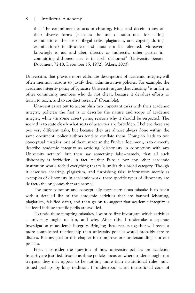#### 8 | Intellectual Autonomy

that "the commitment of acts of cheating, lying, and deceit in any of their diverse forms (such as the use of substitutes for taking examinations, the use of illegal cribs, plagiarism, and copying during examinations) is dishonest and must not be tolerated. Moreover, knowingly to aid and abet, directly or indirectly, other parties in committing dishonest acts is in itself dishonest" [University Senate Document 72-18, December 15, 1972]. (Akers, 2003)

Universities that provide more elaborate descriptions of academic integrity will often mention reasons to justify their administrative policies. For example, the academic integrity policy of Syracuse University argues that cheating "is unfair to other community members who do not cheat, because it devalues efforts to learn, to teach, and to conduct research" (Preamble).

Universities set out to accomplish two important tasks with their academic integrity policies: the first is to describe the nature and scope of academic integrity while (in some cases) giving reasons why it should be respected. The second is to state clearly what sorts of activities are forbidden. I believe these are two very different tasks, but because they are almost always done within the same document, policy authors tend to conflate them. Doing so leads to two conceptual mistakes: one of them, made in the Purdue document, is to correctly describe academic integrity as avoiding "dishonesty in connection with any University activity" but then say something false—namely, that all such dishonesty is forbidden. In fact, neither Purdue nor any other academic institution would forbid everything that falls under this broad category. Though it describes cheating, plagiarism, and furnishing false information merely as examples of dishonesty in academic work, these specific types of dishonesty are de facto the only ones that are banned.

The more common and conceptually more pernicious mistake is to begin with a detailed list of the academic activities that are banned (cheating, plagiarism, falsified data), and then go on to suggest that academic integrity is achieved if these specific perils are avoided.

To undo these tempting mistakes, I want to first investigate which activities a university ought to ban, and why. After this, I undertake a separate investigation of academic integrity. Bringing these results together will reveal a more complicated relationship than university policies would probably care to discuss. But my goal in this chapter is to improve our understanding, not our policies.

First, I consider the question of how university policies on academic integrity are justified. Insofar as these policies focus on where students ought not trespass, they may appear to be nothing more than institutional rules, sanctioned perhaps by long tradition. If understood as an institutional code of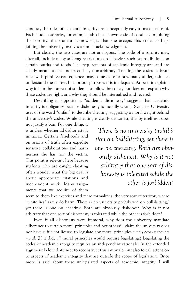conduct, the rules of academic integrity are conceptually easy to make sense of. Each student sorority, for example, also has its own code of conduct. In joining the sorority, the student acknowledges that she accepts this code. Perhaps joining the university involves a similar acknowledgment.

But clearly, the two cases are not analogous. The code of a sorority may, after all, include many *arbitrary* restrictions on behavior, such as prohibitions on certain outfits and foods. The requirements of academic integrity are, and are clearly meant to be understood as, non-arbitrary. Treating the codes as brute rules with punitive consequences may come close to how many undergraduates understand the matter, but for our purposes it is inadequate. At best, it explains why it is in the interest of students to follow the codes, but does not explain why these codes are right, and why they should be internalized and revered.

Describing its opposite as "academic dishonesty" suggests that academic integrity is obligatory because dishonesty is morally wrong. Syracuse University uses of the word "unfair" to describe cheating, suggesting a moral weight behind the university's codes. While cheating is clearly dishonest, this by itself not does

not justify a ban. For one thing, it is unclear whether all dishonesty is immoral. Certain falsehoods and omissions of truth often expedite sensitive collaborations and harm neither the liar nor the victim. This point is relevant here because students who are caught cheating often wonder what the big deal is about appropriate citations and independent work. Many assignments that we require of them

*There is no university prohibition on bullshitting,yet there is one on cheating. Both are obviously dishonest. Why is it not arbitrary that one sort of dishonesty is tolerated while the other is forbidden?*

seem to them like exercises and mere formalities, the very sort of territory where "white lies" rarely do harm. There is no university prohibition on bullshitting,<sup>1</sup> yet there is one on cheating. Both are obviously dishonest. Why is it not arbitrary that one sort of dishonesty is tolerated while the other is forbidden?

Even if all dishonesty were immoral, why does the university mandate adherence to certain moral principles and not others? I claim the university does not have sufficient license to legislate any moral principles *simply because they are moral*. (If it did, *all* moral principles would require legislating.) Legislating the codes of academic integrity requires an independent rationale. In the extended argument below, I attempt to reconstruct this rationale, but also to call attention to aspects of academic integrity that are outside the scope of legislation. Once more is said about these unlegislated aspects of academic integrity, I will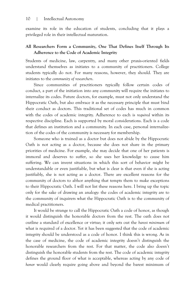examine its role in the education of students, concluding that it plays a privileged role in their intellectual maturation.

#### **All Researchers Form a Community, One That Defines Itself Through Its Adherence to the Code of Academic Integrity**

Students of medicine, law, carpentry, and many other praxis-oriented fields understand themselves as initiates to a community of practitioners. College students typically do not. For many reasons, however, they should. They are initiates to the *community of researchers*.

Since communities of practitioners typically follow certain codes of conduct, a part of the initiation into any community will require the initiates to internalize its codes. Future doctors, for example, must not only understand the Hippocratic Oath, but also embrace it as the necessary principle that must bind their conduct as doctors. This traditional set of codes has much in common with the codes of academic integrity. Adherence to each is *required* within its respective discipline. Each is supported by moral considerations. Each is a code that defines an institution and a community. In each case, personal internalizetion of the codes of the community is necessary for membership.

Someone who is trained as a doctor but does not abide by the Hippocratic Oath is not acting as a doctor, because she does not share in the primary priorities of medicine. For example, she may decide that one of her patients is immoral and deserves to suffer, so she uses her knowledge to cause him suffering. We can invent situations in which this sort of behavior might be understandable or even justifiable, but what is clear is that even if she is acting justifiably, she is not acting as a doctor. There are excellent reasons for the community of doctors to abhor anything that tempts them to make exceptions to their Hippocratic Oath. I will not list these reasons here. I bring up the topic only for the sake of drawing an analogy: the codes of academic integrity are to the community of inquirers what the Hippocratic Oath is to the community of medical practitioners.

It would be strange to call the Hippocratic Oath a code of honor, as though it would distinguish the honorable doctors from the rest. The oath does not outline a standard of excellence or virtue; it only sets out the *barest minimum* of what is required of a doctor. Yet it has been suggested that the code of academic integrity should be understood as a code of honor. I think this is wrong. As in the case of medicine, the code of academic integrity doesn't distinguish the honorable researchers from the rest. For that matter, the code also doesn't distinguish the honorable students from the rest. The code of academic integrity defines the ground floor of what is acceptable, whereas acting by any code of *honor* would clearly require going above and beyond the barest minimum of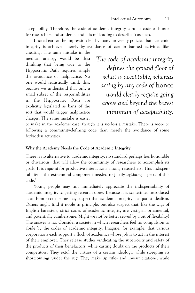acceptability. Therefore, the code of academic integrity is not a code of honor for researchers and students, and it is misleading to describe it as such.

I noted earlier the impression left by many university policies that academic integrity is achieved merely by avoidance of certain banned activities like

cheating. The same mistake in the medical analogy would be this: thinking that being true to the Hippocratic Oath requires simply the avoidance of malpractice. No one would realistically think this, because we understand that only a small subset of the responsibilities in the Hippocratic Oath are explicitly legislated as bans of the sort that would trigger malpractice charges. The same mistake is easier

*The code of academic integrity defines the ground floor of what is acceptable, whereas acting by any code of* honor *would clearly require going above and beyond the barest minimum of acceptability.*

to make in the academic case, though it is no less a mistake. There is more to following a community-defining code than merely the avoidance of some forbidden activities.

#### **Why the Academy Needs the Code of Academic Integrity**

There is no alternative to academic integrity, no standard perhaps less honorable or chivalrous, that will allow the community of researchers to accomplish its goals. It is *required* for productive interactions among researchers. This indispensability is the extra-moral component needed to justify *legislating* aspects of this code.<sup>2</sup>

Young people may not immediately appreciate the indispensability of academic integrity to getting research done. Because it is sometimes introduced as an honor code, some may suspect that academic integrity is a quaint idealism. Others might find it noble in principle, but also suspect that, like the wigs of English barristers, strict codes of academic integrity are vestigial, ornamental, and potentially cumbersome. Might we not be better served by a bit of flexibility? The answer is no. Consider a society in which researchers feel no compulsion to abide by the codes of academic integrity. Imagine, for example, that various corporations each support a flock of academics whose job is to act in the interest of their employer. They release studies vindicating the superiority and safety of the products of their benefactors, while casting doubt on the products of their competitors. They extol the virtues of a certain ideology, while sweeping its shortcomings under the rug. They make up titles and invent citations, while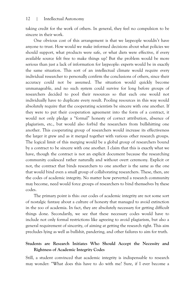taking credit for the work of others. In general, they feel no compulsion to be sincere in their work.

One obvious cost of this arrangement is that we laypeople wouldn't have anyone to trust. How would we make informed decisions about what policies we should support, what products were safe, or what diets were effective, if every available source felt free to make things up? But the problem would be more serious than just a lack of information for laypeople: experts would be in exactly the same situation. This sort of an intellectual climate would require every individual researcher to personally confirm the conclusions of others, since their accuracy could not be assumed. The situation would quickly become unmanageable, and no such system could survive for long before groups of researchers decided to pool their resources so that each one would not individually have to duplicate every result. Pooling resources in this way would absolutely require that the cooperating scientists be sincere with one another. If they were to put their cooperation agreement into the form of a contract, it would not only pledge a "formal" honesty of correct attribution, absence of plagiarism, etc., but would also forbid the researchers from bullshitting one another. This cooperating group of researchers would increase its effectiveness the larger it grew and as it merged together with various other research groups. The logical limit of this merging would be a global group of researchers bound by a contract to be sincere with one another. I claim that this is exactly what we have, though the contract is not an explicit document because the researching community coalesced rather naturally and without overt ceremony. Explicit or not, the contract that binds researchers to one another is the same as the one that would bind even a small group of collaborating researchers. These, then, are the codes of academic integrity. No matter how perverted a research community may become, need would force groups of researchers to bind themselves by these codes.

The primary point is this: our codes of academic integrity are not some sort of nostalgic fantasy about a culture of honesty that managed to avoid extinction in the zoo of academia. In fact, they are absolutely necessary for getting difficult things done. Secondarily, we see that these necessary codes would have to include not only formal restrictions like agreeing to avoid plagiarism, but also a general requirement of sincerity, of aiming at getting the research right. This aim precludes lying as well as bullshit, pandering, and other failures to aim for truth.

#### **Students are Research Initiates Who Should Accept the Necessity and Rightness of Academic Integrity Codes**

Still, a student convinced that academic integrity is indispensable to research may wonder: "What does this have to do with me? Sure, if I ever become a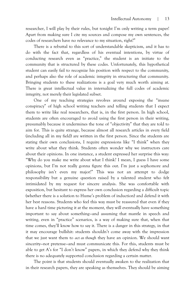researcher, I will play by their rules, but tonight I'm only writing a term paper! Apart from making sure I cite my sources and compose my own sentences, the codes of researchers have no relevance to my situation, right?"

There is a rebuttal to this sort of understandable skepticism, and it has to do with the fact that, regardless of his eventual intentions, by virtue of conducting research even as "practice," the student is an initiate to the community that is structured by these codes. Unfortunately, this hypothetical student can easily fail to recognize his position with respect to the community, and perhaps also the role of academic integrity in structuring that community. Bringing students to these realizations is a goal very much worth aiming at. There is great intellectual value in internalizing the full codes of academic integrity, not merely their legislated subset.

One of my teaching strategies revolves around exposing the "insane conspiracy" of high school writing teachers and telling students that I expect them to write like real researchers, that is, in the first person. In high school, students are often encouraged to avoid using the first person in their writing, presumably because it undermines the tone of "objectivity" that they are told to aim for. This is quite strange, because almost all research articles in every field (including all in my field) are written in the first person. Since the students are stating their own conclusions, I require expressions like "I think" when they write about what they think. Students often wonder why we instructors care about their opinions. In one instance, a student expressed her surprise this way: "Why do you make me write about what I think? I mean, I guess I have some opinions, but I'm not really gonna figure this out. I'm just a sophomore and philosophy isn't even my major!" This was not an attempt to dodge responsibility but a genuine question raised by a talented student who felt intimidated by my request for sincere analysis. She was comfortable with exposition, but hesitant to express her own conclusion regarding a difficult topic (whether there is a solution to Hume's problem of induction) and defend it with her best reasons. Students who feel this way must be reassured that even if they have a hard time picturing it at the moment, they will eventually have something important to say about something—and assuming that mantle in speech and writing, even in "practice" scenarios, is a way of making sure that, when that time comes, they'll know how to say it. There is a danger in this strategy, in that it may encourage bullshit: students shouldn't come away with the impression that we just want them to *act as though* they have an opinion. We should want sincerity—not pretense—and must communicate this. For this, students must be able to get A's for "I don't know" papers, in which they defend why they think there is no adequately supported conclusion regarding a certain matter.

The point is that students should eventually awaken to the realization that in their research papers, they are speaking as themselves. They should be aiming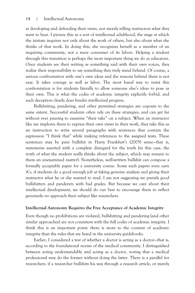at developing and defending their views, not merely telling instructors what they want to hear. I picture this as a sort of intellectual adulthood, the stage at which the initiate inquires not only about the work of others, but also about what she thinks of that work. In doing this, she recognizes herself as a member of an inquiring community, not a mere consumer of its labors. Helping a student through this transition is perhaps the most important thing we do as educators. Once students see their writing as something said with their own voices, they realize their responsibility to say something they truly stand behind. Of course, a serious confrontation with one's own ideas and the reasons behind them is not easy. It takes courage as well as labor. The most banal way to resist this confrontation is for students literally to allow someone else's ideas to pose as their own. This is what the codes of academic integrity explicitly forbid, and such deception clearly does hinder intellectual progress.

Bullshitting, pandering, and other permitted strategies are copouts to the same extent. Successful students often rely on these strategies, and can get far without ever pausing to examine "their take" on a subject. When an instructor like me implores them to express their own views in their work, they take this as an instruction to write several paragraphs with sentences that contain the expression "I think that" while making references to the assigned texts. These sentences may be pure bullshit in Harry Frankfurt's (2005) sense—that is, statements asserted with a complete disregard for the truth (in this case, the truth of what the student really thinks about the subject, which may remain to them an unexamined matter). Nonetheless, well-written bullshit can compose a formally acceptable paper for a university course. Some such papers even earn A's, if students do a good enough job at faking genuine analysis and giving their instructor what he or she wanted to read. I am not suggesting we punish good bullshitters and panderers with bad grades. But because we care about their intellectual development, we should do our best to encourage them to reflect genuinely—to approach their subject like researchers.

#### **Intellectual Autonomy Requires the Free Acceptance of Academic Integrity**

Even though no prohibitions are violated, bullshitting and pandering (and other similar approaches) are not consistent with the full codes of academic integrity. I think this is an important point: there is more to the content of academic integrity than the rules that are listed in the university guidebooks.

Earlier, I considered a test of whether a doctor is acting as a doctor—that is, according to the foundational norms of the medical community. I distinguished between acting understandably and acting as a doctor, noting that a medical professional may do the former without doing the latter. There is a parallel for researchers: if a researcher bullshits his way through a research article, or merely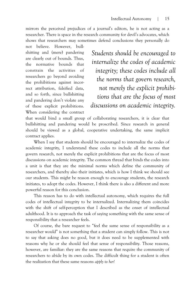mirrors the perceived prejudices of a journal's editors, he is not acting as a researcher. There is space in the research community for devil's advocates, which shows that researchers may sometimes defend conclusions they personally do

not believe. However, bullshitting and (mere) pandering are clearly out of bounds. Thus, the normative bounds that constrain the activities of researchers go beyond avoiding the prohibitions against incorrect attribution, falsified data, and so forth, since bullshitting and pandering don't violate any of these explicit prohibitions. When considering the contract

*Students should be encouraged to internalize the codes of academic integrity; these codes include all the norms that govern research, not merely the explicit prohibitions that are the focus of most discussions on academic integrity.* 

that would bind a small group of collaborating researchers, it is clear that bullshitting and pandering would be proscribed. Since research in general should be viewed as a global, cooperative undertaking, the same implicit contract applies.

When I say that students should be encouraged to internalize the codes of academic integrity, I understand these codes to include all the norms that govern research, not merely the explicit prohibitions that are the focus of most discussions on academic integrity. The common thread that binds the codes into a unit is that they are the minimal norms which define the community of researchers, and thereby also their initiates, which is how I think we should see our students. This might be reason enough to encourage students, the research initiates, to adopt the codes. However, I think there is also a different and more powerful reason for this conclusion.

This reason has to do with intellectual autonomy, which requires the full codes of intellectual integrity to be internalized. Internalizing them coincides with the shift of self-perception that I described as the onset of intellectual adulthood. It is to approach the task of saying something with the same sense of responsibility that a researcher feels.

Of course, the bare request to "feel the same sense of responsibility as a researcher would" is not something that a student can simply follow. This is not to say that asking does no good, but it does need to be supplemented with reasons why he or she should feel that sense of responsibility. Those reasons, however, are familiar: they are the same reasons that require the community of researchers to abide by its own codes. The difficult thing for a student is often the realization that these same reasons *apply to her!*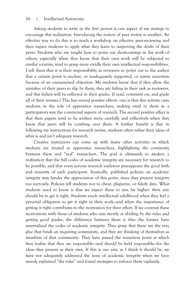#### 16 | Intellectual Autonomy

Asking students to write in the first person is one aspect of my strategy to encourage this realization. Introducing the notion of peer review is another. An effective way to do this is to teach a workshop on effective peer-reviewing and then expect students to apply what they learn to improving the drafts of their peers. Students who are taught how to point out shortcomings in the work of others, especially when they know that their own work will be subjected to similar scrutiny, tend to grasp more vividly their own intellectual responsibilities. I tell them that it is their responsibility as reviewers to point out to the author that a certain point is unclear, or inadequately supported, or seems uncertain because of an unexamined objection. My students know that if they allow the mistakes of their peers to slip by them, they are failing in their task as reviewers, and this failure will be reflected in their grades. (I read, comment on, and grade all of their reviews.) This has several positive effects: one is that this activity casts students in the role of apprentice researchers, making vivid to them in a participatory way the communal aspects of research. The second positive effect is that their papers tend to be written more carefully and reflectively when they know that peers will be combing over them. A further benefit is that in following my instructions for research review, students often refine their ideas of what is and isn't adequate research.

Creative instructors can come up with many other activities in which students are treated as apprentice researchers, highlighting the continuity between them and "real" researchers. The goal is ultimately to awaken a realization that the full codes of academic integrity are necessary for research to be possible, and that every serious research endeavor presupposes the good faith and sincerity of each participant. Ironically, published policies on academic integrity may hinder the appreciation of this point, since they present integrity too narrowly. Policies tell students not to cheat, plagiarize, or falsify data. What students need to know is that we expect them to aim far higher: their aim should be to get it right. Students reach intellectual adulthood when they feel a personal obligation to get it right in their work—and when the importance of getting it right contributes to the motivation for their effort. If we contrast these motivations with those of students who aim merely at abiding by the rules and getting good grades, the difference between them is this: the former have internalized the codes of academic integrity. They grasp that these are the very glue that binds an inquiring community, and they are thinking of themselves as members of that community. They have passed the transition point at which they realize that they are responsible—and should be held responsible—for the ideas they present as their own. If this is our aim, as I think it should be, we have not adequately addressed the issue of academic integrity when we have merely explained "the rules" and found strategies to enforce them vigilantly.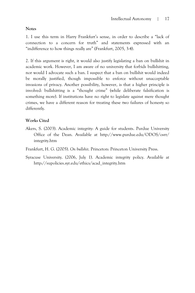#### **Notes**

1. I use this term in Harry Frankfurt's sense, in order to describe a "lack of connection to a concern for truth" and statements expressed with an "indifference to how things really are" (Frankfurt, 2005, 3-4).

2. If this argument is right, it would also justify legislating a ban on bullshit in academic work. However, I am aware of no university that forbids bullshitting, nor would I advocate such a ban. I suspect that a ban on bullshit would indeed be morally justified, though impossible to enforce without unacceptable invasions of privacy. Another possibility, however, is that a higher principle is involved: bullshitting is a "thought crime" (while deliberate falsification is something more). If institutions have no right to legislate against mere thought crimes, we have a different reason for treating these two failures of honesty so differently.

#### **Works Cited**

Akers, S. (2003). Academic integrity: A guide for students. Purdue University Office of the Dean. Available at http://www.purdue.edu/ODOS/osrr/ integrity.htm

Frankfurt, H. G. (2005). *On bullshit*. Princeton: Princeton University Press.

Syracuse University. (2006, July 1). Academic integrity policy. Available at http://supolicies.syr.edu/ethics/acad\_integrity.htm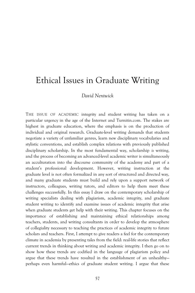### <span id="page-20-0"></span>Ethical Issues in Graduate Writing

#### *David Nentwick*

THE ISSUE OF ACADEMIC integrity and student writing has taken on a particular urgency in the age of the Internet and Turnitin.com. The stakes are highest in graduate education, where the emphasis is on the production of individual and original research. Graduate-level writing demands that students negotiate a variety of unfamiliar genres, learn new disciplinary vocabularies and stylistic conventions, and establish complex relations with previously published disciplinary scholarship. In the most fundamental way, scholarship *is* writing, and the process of becoming an advanced-level academic writer is simultaneously an acculturation into the discourse community of the academy and part of a student's professional development. However, writing instruction at the graduate level is not often formalized in any sort of structured and directed way, and many graduate students must build and rely upon a support network of instructors, colleagues, writing tutors, and editors to help them meet these challenges successfully. In this essay I draw on the contemporary scholarship of writing specialists dealing with plagiarism, academic integrity, and graduate student writing to identify and examine issues of academic integrity that arise when graduate students get help with their writing. This chapter focuses on the importance of establishing and maintaining ethical relationships among teachers, students, and writing consultants in order to develop the atmosphere of collegiality necessary to teaching the practices of academic integrity to future scholars and teachers. First, I attempt to give readers a feel for the contemporary climate in academia by presenting tales from the field: real-life stories that reflect current trends in thinking about writing and academic integrity. I then go on to show how these trends are codified in the language of plagiarism policy and argue that these trends have resulted in the establishment of an unhealthy perhaps even harmful—ethics of graduate student writing. I argue that these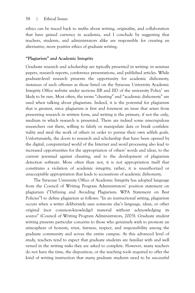ethics can be traced back to myths about writing, originality, and collaboration that have gained currency in academia, and I conclude by suggesting that teachers, students, and administrators alike are responsible for creating an alternative, more positive ethics of graduate writing.

#### **"Plagiarism" and Academic Integrity**

Graduate research and scholarship are typically presented in writing: in seminar papers, research reports, conference presentations, and published articles. While graduate-level research presents the opportunity for academic dishonesty, instances of such offenses as those listed on the Syracuse University Academic Integrity Office website under sections IIB and IID of the university Policy<sup>1</sup> are likely to be rare. Most often, the terms "cheating" and "academic dishonesty" are used when talking about plagiarism. Indeed, it is the potential for plagiarism that is greatest, since plagiarism is first and foremost an issue that arises from presenting research in written form, and writing is the primary, if not the only, medium in which research is presented. There are indeed some unscrupulous researchers out there, willing to falsify or manipulate data or break confidentiality and steal the work of others in order to pursue their own selfish goals. Unfortunately, the doors to research and scholarship that have been opened by the digital, computerized world of the Internet and word processing also lead to increased opportunities for the appropriation of others' words and ideas, to the current jeremiad against cheating, and to the development of plagiarism detection software. More often than not, it is not appropriation itself that constitutes a violation of academic integrity; rather, it is unauthorized or unacceptable appropriation that leads to accusations of academic dishonesty.

The Syracuse University Office of Academic Integrity has adopted language from the Council of Writing Program Administrators' position statement on plagiarism ("Defining and Avoiding Plagiarism: WPA Statement on Best Policies") to define plagiarism as follows: "In an instructional setting, plagiarism occurs when a writer deliberately uses someone else's language, ideas, or other original (not common-knowledge) material without acknowledging its source" (Council of Writing Program Administrators, 2003). Graduate student writing presents particular concerns to those who genuinely wish to promote an atmosphere of honesty, trust, fairness, respect, and responsibility among the graduate community and across the entire campus. At this advanced level of study, teachers tend to expect that graduate students are familiar with and well versed in the writing tasks they are asked to complete. However, many teachers do not have the time, the disposition, or the teaching tools required to offer the kind of writing instruction that many graduate students need to be successful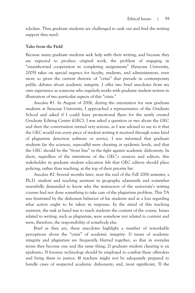scholars. Thus graduate students are challenged to seek out and find the writing support they need.

#### **Tales from the Field**

Because many graduate students seek help with their writing, and because they are expected to produce original work, the problem of engaging in "unauthorized cooperation in completing assignments" (Syracuse University, 2005) takes on special urgency for faculty, students, and administrators, even more so given the current rhetoric of "crisis" that prevails in contemporary public debates about academic integrity. I offer two brief anecdotes from my own experience as someone who regularly works with graduate student writers in illustration of two particular aspects of this "crisis."

*Anecdote #1.* In August of 2006, during the orientation for new graduate students at Syracuse University, I approached a representative of the Graduate School and asked if I could leave promotional flyers for the newly created Graduate Editing Center (GEC). I was asked a question or two about the GEC and then the conversation turned very serious, as I was advised to see to it that the GEC would run every piece of student writing it received through some kind of plagiarism detection software or service. I was informed that graduate students (in the sciences, especially) were cheating at epidemic levels, and that the GEC should be the "front line" in the fight against academic dishonesty. In short, regardless of the intentions of the GEC's creators and editors, this stakeholder in graduate student education felt that GEC editors should place policing, rather than teaching, at the top of their priority list.

*Anecdote #2.* Several months later, near the end of the Fall 2006 semester, a Ph.D. student and teaching assistant in geography adamantly and somewhat resentfully demanded to know why the instructors of the university's writing courses had not done something to take care of the plagiarism problem. This TA was frustrated by the dishonest behavior of his students and at a loss regarding what action ought to be taken in response. In the mind of this teaching assistant, the task at hand was to teach students the content of the course. Issues related to writing, such as plagiarism, were somehow not related to content and were, therefore, the responsibility of somebody else.

Brief as they are, these anecdotes highlight a number of remarkable perceptions about the "crisis" of academic integrity: 1) issues of academic integrity and plagiarism are frequently blurred together, so that in everyday terms they become one and the same thing; 2) graduate student cheating is an epidemic; 3) forensic technology should be employed to combat these offenders and bring them to justice; 4) teachers might not be adequately prepared to handle cases of suspected academic dishonesty; and, most significant, 5) the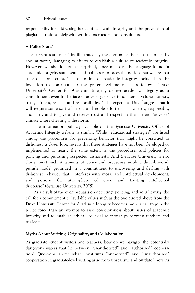responsibility for addressing issues of academic integrity and the prevention of plagiarism resides solely with writing instructors and consultants.

#### **A Police State?**

The current state of affairs illustrated by these examples is, at best, unhealthy and, at worst, damaging to efforts to establish a culture of academic integrity. However, we should not be surprised, since much of the language found in academic integrity statements and policies reinforces the notion that we are in a state of moral crisis. The definition of academic integrity included in the invitation to contribute to the present volume reads as follows: "Duke University's Center for Academic Integrity defines academic integrity as 'a commitment, even in the face of adversity, to five fundamental values: honesty, trust, fairness, respect, and responsibility." The experts at  $Duke^2$  suggest that it will require some sort of heroic and noble effort to act honestly, responsibly, and fairly and to give and receive trust and respect in the current "adverse" climate where cheating is the norm.

The information publicly available on the Syracuse University Office of Academic Integrity website is similar. While "educational strategies" are listed among the procedures for preventing behavior that might be construed as dishonest, a closer look reveals that these strategies have not been developed or implemented to nearly the same extent as the procedures and policies for policing and punishing suspected dishonesty. And Syracuse University is not alone; most such statements of policy and procedure imply a discipline-andpunish model grounded in a commitment to uncovering and dealing with dishonest behavior that "interferes with moral and intellectual development, and poisons the atmosphere of open and trusting intellectual discourse" (Syracuse University, 2005).

As a result of the overemphasis on detecting, policing, and adjudicating, the call for a commitment to laudable values such as the one quoted above from the Duke University Center for Academic Integrity becomes more a call to join the police force than an attempt to raise consciousness about issues of academic integrity and to establish ethical, collegial relationships between teachers and students.

#### **Myths About Writing, Originality, and Collaboration**

As graduate student writers and teachers, how do we navigate the potentially dangerous waters that lie between "unauthorized" and "authorized" cooperation? Questions about what constitutes "authorized" and "unauthorized" cooperation in graduate-level writing arise from unrealistic and outdated notions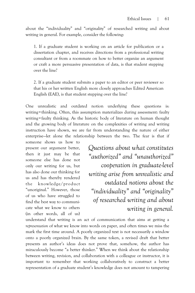about the "individuality" and "originality" of researched writing and about writing in general. For example, consider the following:

1. If a graduate student is working on an article for publication or a dissertation chapter, and receives directions from a professional writing consultant or from a roommate on how to better organize an argument or craft a more persuasive presentation of data, is that student stepping over the line?

2. If a graduate student submits a paper to an editor or peer reviewer so that his or her written English more closely approaches Edited American English (EAE), is that student stepping over the line?

One unrealistic and outdated notion underlying these questions is: writing=thinking. Often, this assumption materializes during assessment: faulty writing=faulty thinking. As the historic body of literature on human thought and the growing body of literature on the complexities of writing and writing instruction have shown, we are far from understanding the nature of either enterprise—let alone the relationship between the two. The fear is that if

someone shows us how to present our argument better, then it just may be that someone else has done not only our writing for us, but has also done our thinking for us and has thereby rendered the knowledge/product "unoriginal." However, those of us who have struggled to find the best way to communicate what we know to others (in other words, all of us)

*Questions about what constitutes "authorized" and "unauthorized" cooperation in graduate-level writing arise from unrealistic and outdated notions about the "individuality" and "originality" of researched writing and about writing in general.* 

understand that writing is an act of communication that aims at getting a *representation* of what we know into words on paper, and often times we miss the mark the first time around. A poorly organized text is not necessarily a window onto a poorly organized brain. By the same token, a revised draft that better presents an author's ideas does not prove that, somehow, the author has miraculously become "a better thinker." When we think about the relationship between writing, revision, and collaboration with a colleague or instructor, it is important to remember that working collaboratively to construct a better representation of a graduate student's knowledge does not amount to tampering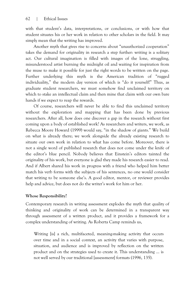with that student's data, interpretations, or conclusions, or with how that student situates his or her work in relation to other scholars in the field. It may simply mean that the writing has improved.

Another myth that gives rise to concerns about "unauthorized cooperation" takes the demand for originality in research a step further: writing is a solitary act. Our cultural imagination is filled with images of the lone, struggling, misunderstood artist burning the midnight oil and waiting for inspiration from the muse to make it possible for just the right words to be written on the page. Further underlying this myth is the American tradition of "rugged individuality," the modern day version of which is "do it yourself!" Thus, as graduate student researchers, we must somehow find unclaimed territory on which to stake an intellectual claim and then mine that claim with our own bare hands if we expect to reap the rewards.

Of course, researchers will never be able to find this unclaimed territory without the exploration and mapping that has been done by previous researchers. After all, how does one discover a gap in the research without first coming upon a body of established work? As researchers and writers, we work, as Rebecca Moore Howard (1999) would say, "in the shadow of giants." We build on what is already there; we work alongside the already existing research to situate our own work in relation to what has come before. Moreover, there is not a single word of published research that does not come under the knife of the editor's blue pencil. Nobody believes that Einstein's editors tainted the originality of his work, but everyone is glad they made his research easier to read. And if Albert shared his work in progress with a friend who helped him better match his verb forms with the subjects of his sentences, no one would consider that writing to be someone else's. A good editor, mentor, or reviewer provides help and advice, but does not do the writer's work for him or her.

#### **Whose Responsibility?**

Contemporary research in writing assessment explodes the myth that quality of thinking and originality of work can be determined in a transparent way through assessment of a written product, and it provides a framework for a complex understanding of writing. As Roberta Camp reminds us,

Writing [is] a rich, multifaceted, meaning-making activity that occurs over time and in a social context, an activity that varies with purpose, situation, and audience and is improved by reflection on the written product and on the strategies used to create it. This understanding … is not well served by our traditional [assessment] formats (1996, 135).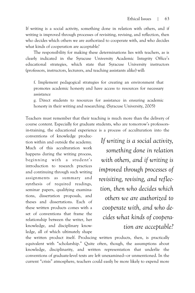If writing is a social activity, something done in relation with others, and if writing is improved through processes of revisiting, revising, and reflection, then who decides which others we are authorized to cooperate with, and who decides what kinds of cooperation are acceptable?

The responsibility for making these determinations lies with teachers, as is clearly indicated in the Syracuse University Academic Integrity Office's educational strategies, which state that Syracuse University instructors (professors, instructors, lecturers, and teaching assistants alike) will:

f. Implement pedagogical strategies for creating an environment that promotes academic honesty and have access to resources for necessary assistance

g. Direct students to resources for assistance in ensuring academic honesty in their writing and researching. (Syracuse University, 2005)

Teachers must remember that their teaching is much more than the delivery of course content. Especially for graduate students, who are tomorrow's professorsin-training, the educational experience is a process of acculturation into the

conventions of knowledge production within and outside the academy. Much of this acculturation work happens during the writing process, beginning with a student's introduction to research practices and continuing through such writing assignments as summary and synthesis of required readings, seminar papers, qualifying examinations, dissertation proposals, and theses and dissertations. Each of these written products comes with a set of conventions that frame the relationship between the writer, her knowledge, and disciplinary knowledge, all of which ultimately shape

*If writing is a social activity, something done in relation with others, and if writing is improved through processes of revisiting, revising, and reflection, then who decides which others we are authorized to cooperate with, and who decides what kinds of cooperation are acceptable?*

the written product itself. Producing written products, then, is practically equivalent with "scholarship." Quite often, though, the assumptions about knowledge, disciplinarity, and written representation that underlie the conventions of graduate-level texts are left unexamined—or unmentioned. In the current "crisis" atmosphere, teachers could easily be more likely to expend more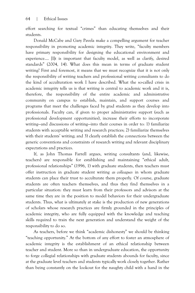effort searching for textual "crimes" than educating themselves and their students.

Donald McCabe and Gary Pavela make a compelling argument for teacher responsibility in promoting academic integrity. They write, "faculty members have primary responsibility for designing the educational environment and experience.... [I]t is important that faculty model, as well as clarify, desired standards" (2004, 14). What does this mean in terms of graduate student writing? First and foremost, it means that we must recognize that it is not only the responsibility of writing teachers and professional writing consultants to do the kind of acculturation work I have described. What the so-called crisis in academic integrity tells us is that writing is central to academic work and it is, therefore, the responsibility of the entire academic and administrative community on campus to establish, maintain, and support courses and programs that meet the challenges faced by grad students as they develop into professionals. Faculty can, if given to proper administrative support (such as professional development opportunities), increase their efforts to incorporate writing—and discussions of writing—into their courses in order to: 1) familiarize students with acceptable writing and research practices; 2) familiarize themselves with their students' writing; and 3) clearly establish the connections between the generic conventions and constraints of research writing and relevant disciplinary expectations and practices.

If, as John Thomas Farrell argues, writing consultants (and, likewise, teachers) are responsible for establishing and maintaining "ethical adult, professional relationships" (1996, 1) with graduate students, then teachers must offer instruction in graduate student writing *as colleagues* in whom graduate students can place their trust to acculturate them properly. Of course, graduate students are often teachers themselves, and thus they find themselves in a particular situation: they must learn from their professors and advisors at the same time they are in the position to model behaviors for their undergraduate students. Thus, what is ultimately at stake is the production of new generations of scholars whose research practices are firmly grounded in the principles of academic integrity, who are fully equipped with the knowledge and teaching skills required to train the next generation and understand the weight of the responsibility to do so.

As teachers, before we think "academic dishonesty" we should be thinking "teaching opportunity." At the bottom of any effort to foster an atmosphere of academic integrity is the establishment of an ethical relationship between teacher and student. More so than in undergraduate education, the opportunity to forge collegial relationships with graduate students abounds for faculty, since at the graduate level teachers and students typically work closely together. Rather than being constantly on the lookout for the naughty child with a hand in the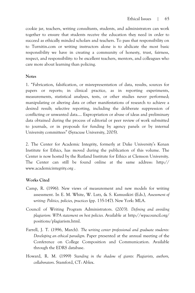cookie jar, teachers, writing consultants, students, and administrators can work together to ensure that students receive the education they need in order to succeed as ethically minded scholars and teachers. To pass that responsibility on to Turnitin.com or writing instructors alone is to abdicate the most basic responsibility we have in creating a community of honesty, trust, fairness, respect, and responsibility: to be excellent teachers, mentors, and colleagues who care more about learning than policing.

#### **Notes**

1. "Fabrication, falsification, or misrepresentation of data, results, sources for papers or reports; in clinical practice, as in reporting experiments, measurements, statistical analyses, tests, or other studies never performed; manipulating or altering data or other manifestations of research to achieve a desired result; selective reporting, including the deliberate suppression of conflicting or unwanted data.... Expropriation or abuse of ideas and preliminary data obtained during the process of editorial or peer review of work submitted to journals, or in proposals for funding by agency panels or by internal University committees" (Syracuse University, 2005).

2. The Center for Academic Integrity, formerly at Duke University's Kenan Institute for Ethics, has moved during the publication of this volume. The Center is now hosted by the Rutland Institute for Ethics at Clemson University. The Center can still be found online at the same address: http:// www.academicintegrity.org .

#### **Works Cited**

- Camp, R. (1996). New views of measurement and new models for writing assessment. In E. M. White, W. Lutz, & S. Kamusikiri (Eds.), *Assessment of writing: Politics, policies, practices* (pp. 135-147). New York: MLA.
- Council of Writing Program Administrators. (2003). *Defining and avoiding plagiarism: WPA statement on best policies.* Available at http://wpacouncil.org/ positions/plagiarism.html.
- Farrell, J. T. (1996, March). *The writing center professional and graduate students: Developing an ethical paradigm.* Paper presented at the annual meeting of the Conference on College Composition and Communication. Available through the EDRS database.
- Howard, R. M. (1999) *Standing in the shadow of giants: Plagiarists, authors, collaborators*. Stamford, CT: Ablex.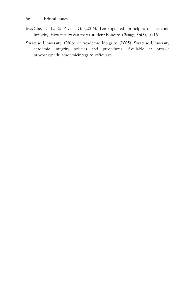- McCabe, D. L., & Pavela, G. (2004). Ten (updated) principles of academic integrity: How faculty can foster student honesty. *Change, 36*(3), 10-15.
- Syracuse University, Office of Academic Integrity. (2005). Syracuse University academic integrity policies and procedures. Available at http:// provost.syr.edu.academicintegrity\_office.asp.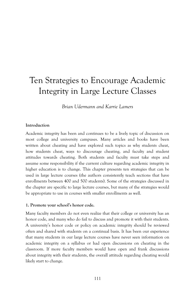# <span id="page-30-0"></span>Ten Strategies to Encourage Academic Integrity in Large Lecture Classes

*Brian Udermann and Karrie Lamers*

#### **Introduction**

Academic integrity has been and continues to be a lively topic of discussion on most college and university campuses. Many articles and books have been written about cheating and have explored such topics as why students cheat, how students cheat, ways to discourage cheating, and faculty and student attitudes towards cheating. Both students and faculty must take steps and assume some responsibility if the current culture regarding academic integrity in higher education is to change. This chapter presents ten strategies that can be used in large lecture courses (the authors consistently teach sections that have enrollments between 400 and 500 students). Some of the strategies discussed in the chapter are specific to large lecture courses, but many of the strategies would be appropriate to use in courses with smaller enrollments as well.

#### **1. Promote your school's honor code.**

Many faculty members do not even realize that their college or university has an honor code, and many who do fail to discuss and promote it with their students. A university's honor code or policy on academic integrity should be reviewed often and shared with students on a continual basis. It has been our experience that many students in our large lecture courses have never seen information on academic integrity on a syllabus or had open discussions on cheating in the classroom. If more faculty members would have open and frank discussions about integrity with their students, the overall attitude regarding cheating would likely start to change.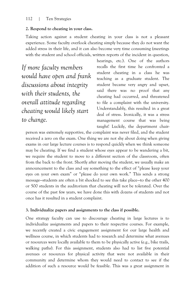#### 112 | Ten Strategies

#### **2. Respond to cheating in your class.**

Taking action against a student cheating in your class is not a pleasant experience. Some faculty overlook cheating simply because they do not want the added stress in their life, and it can also become very time consuming (meetings with the student and school officials, written reports of the incident in question,

*If more faculty members would have open and frank discussions about integrity with their students, the overall attitude regarding cheating would likely start to change.* 

hearings, etc.). One of the authors recalls the first time he confronted a student cheating in a class he was teaching as a graduate student. The student became very angry and upset, said there was no proof that any cheating had occurred, and threatened to file a complaint with the university. Understandably, this resulted in a great deal of stress. Ironically, it was a stress management course that was being taught! Luckily, the department chair-

person was extremely supportive, the complaint was never filed, and the student received a zero on the exam. One thing we are not shy about doing when giving exams in our large lecture courses is to respond quickly when we think someone may be cheating. If we find a student whose eyes appear to be wandering a bit, we require the student to move to a different section of the classroom, often from the back to the front. Shortly after moving the student, we usually make an announcement to the class and say something to the effect of "please keep your eyes on your own exam" or "please do your own work." This sends a strong message—students are often a bit shocked to see this take place—to the other 400 or 500 students in the auditorium that cheating will not be tolerated. Over the course of the past few years, we have done this with dozens of students and not once has it resulted in a student complaint.

#### **3. Individualize papers and assignments to the class if possible.**

One strategy faculty can use to discourage cheating in large lectures is to individualize assignments and papers to their respective courses. For example, we recently created a civic engagement assignment for our large health and wellness course, in which students had to research and determine what avenues or resources were locally available to them to be physically active (e.g., bike trails, walking paths). For this assignment, students also had to list five potential avenues or resources for physical activity that were not available in their community and determine whom they would need to contact to see if the addition of such a resource would be feasible. This was a great assignment in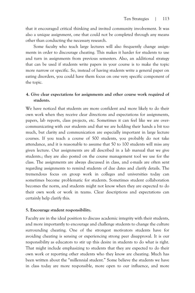that it encouraged critical thinking and invited community involvement. It was also a unique assignment, one that could not be completed through any means other than conducting the necessary research.

Some faculty who teach large lectures will also frequently change assignments in order to discourage cheating. This makes it harder for students to use and turn in assignments from previous semesters. Also, an additional strategy that can be used if students write papers in your course is to make the topic more narrow or specific. So, instead of having students write a general paper on eating disorders, you could have them focus on one very specific component of the topic.

#### **4. Give clear expectations for assignments and other course work required of students.**

We have noticed that students are more confident and more likely to do their own work when they receive clear directions and expectations for assignments, papers, lab reports, class projects, etc. Sometimes it can feel like we are overcommunicating with our students and that we are holding their hands a bit too much, but clarity and communication are especially important in large lecture courses. If you teach a course of 500 students, you probably do not take attendance, and it is reasonable to assume that 50 to 100 students will miss any given lecture. Our assignments are all described in a lab manual that we give students.; they are also posted on the course management tool we use for the class. The assignments are always discussed in class, and e-mails are often sent regarding assignments to remind students of due dates and clarify details. The tremendous focus on group work in colleges and universities today can sometimes become problematic for students. Sometimes student collaboration becomes the norm, and students might not know when they are expected to do their own work or work in teams. Clear descriptions and expectations can certainly help clarify this.

#### **5. Encourage student responsibility.**

Faculty are in the ideal position to discuss academic integrity with their students, and more importantly to encourage and challenge students to change the culture surrounding cheating. One of the strongest motivators students have for avoiding cheating is sensing or experiencing strong peer disapproval. It is our responsibility as educators to stir up this desire in students to do what is right. That might include emphasizing to students that they are expected to do their own work or reporting other students who they know are cheating. Much has been written about the "millennial student." Some believe the students we have in class today are more responsible, more open to our influence, and more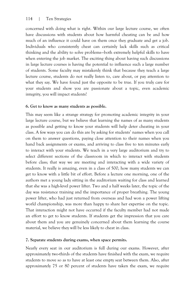#### 114 | Ten Strategies

concerned with doing what is right. Within our large lecture course, we often have discussions with students about how harmful cheating can be and how much of an influence it could have on them once they graduate and get a job. Individuals who consistently cheat can certainly lack skills such as critical thinking and the ability to solve problems—both extremely helpful skills to have when entering the job market. The exciting thing about having such discussions in large lecture courses is having the potential to influence such a large number of students. Some faculty may mistakenly think that because they teach a large lecture course, students do not really listen to, care about, or pay attention to what they say. We have found just the opposite to be true. If you truly care for your students and show you are passionate about a topic, even academic integrity, you will impact students!

#### **6. Get to know as many students as possible.**

This may seem like a strange strategy for promoting academic integrity in your large lecture course, but we believe that learning the names of as many students as possible and getting to know your students will help deter cheating in your class. A few ways you can do this are by asking for students' names when you call on them to answer questions, paying close attention to their names when you hand back assignments or exams, and arriving to class five to ten minutes early to interact with your students. We teach in a very large auditorium and try to select different sections of the classroom in which to interact with students before class; that way we are meeting and interacting with a wide variety of students. It really is amazing, even in a class of 500, how many students we can get to know with a little bit of effort. Before a lecture one morning, one of the authors met a young lady sitting in the auditorium waiting for class and learned that she was a high-level power lifter. Two and a half weeks later, the topic of the day was resistance training and the importance of proper breathing. The young power lifter, who had just returned from overseas and had won a power lifting world championship, was more than happy to share her expertise on the topic. That interaction might not have occurred if the faculty member had not made an effort to get to know students. If students get the impression that you care about them and you are genuinely concerned about them learning the course material, we believe they will be less likely to cheat in class.

#### **7. Separate students during exams, when space permits.**

Nearly every seat in our auditorium is full during our exams. However, after approximately two-thirds of the students have finished with the exam, we require students to move so as to have at least one empty seat between them. Also, after approximately 75 or 80 percent of students have taken the exam, we require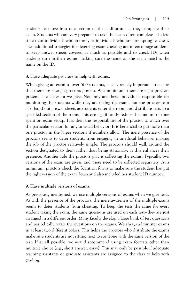students to move into one section of the auditorium as they complete their exam. Students who are very prepared to take the exam often complete it in less time than individuals who are not, or individuals who are attempting to cheat. Two additional strategies for deterring exam cheating are to encourage students to keep answer sheets covered as much as possible and to check IDs when students turn in their exams, making sure the name on the exam matches the name on the ID.

#### **8. Have adequate proctors to help with exams.**

When giving an exam to over 500 students, it is extremely important to ensure that there are enough proctors present. At a minimum, there are eight proctors present at each exam we give. Not only are these individuals responsible for monitoring the students while they are taking the exam, but the proctors can also hand out answer sheets as students enter the room and distribute tests to a specified section of the room. This can significantly reduce the amount of time spent on exam set-up. It is then the responsibility of the proctor to watch over the particular section for any unusual behavior. It is beneficial to put more than one proctor in the larger sections if numbers allow. The mere presence of the proctors seems to deter students from engaging in unethical behavior, making the job of the proctor relatively simple. The proctors should walk around the section designated to them rather than being stationary, as this enhances their presence. Another role the proctors play is collecting the exams. Typically, two versions of the exam are given, and these need to be collected separately. At a minimum, proctors check the Scantron forms to make sure the student has put the right version of the exam down and also included her student ID number.

#### **9. Have multiple versions of exams.**

As previously mentioned, we use multiple versions of exams when we give tests. As with the presence of the proctors, the mere awareness of the multiple exams seems to deter students from cheating. To keep the tests the same for every student taking the exam, the same questions are used on each test—they are just arranged in a different order. Many faculty develop a large bank of test questions and periodically rotate the questions on the exams. We always administer exams in at least two different colors. This helps the proctors who distribute the exams make sure students are not sitting next to someone with the same version of the test. If at all possible, we would recommend using exam formats other than multiple choice (e.g., short answer, essay). This may only be possible if adequate teaching assistants or graduate assistants are assigned to the class to help with grading.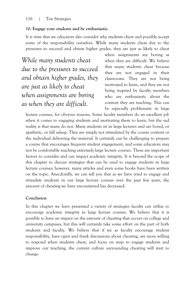#### 116 | Ten Strategies

#### **10. Engage your students and be enthusiastic.**

It is time that we educators also consider why students cheat and possibly accept some of the responsibility ourselves. While many students cheat due to the pressures to succeed and obtain higher grades, they are just as likely to cheat

*While many students cheat due to the pressures to succeed and obtain higher grades, they are just as likely to cheat when assignments are boring as when they are difficult.* 

when assignments are boring as when they are difficult. We believe that many students cheat because they are not engaged in their classrooms. They are not being motivated to learn, and they are not being inspired by faculty members who are enthusiastic about the content they are teaching. This can be especially problematic in large

lecture courses, for obvious reasons. Some faculty members do an excellent job when it comes to engaging students and motivating them to learn, but the sad reality is that many do not. Many students sit in large lectures and are bored, or apathetic, or fall asleep. They are simply not stimulated by the course content or the individual delivering the material. It certainly can be challenging to prepare a course that encourages frequent student engagement, and some educators may not be comfortable teaching extremely large lecture courses. These are important factors to consider and can impact academic integrity. It is beyond the scope of this chapter to discuss strategies that can be used to engage students in large lecture courses; however, many articles and even some books have been written on the topic. Anecdotally, we can tell you that as we have tried to engage and stimulate students in our large lecture courses over the past few years, the amount of cheating we have encountered has decreased.

#### **Conclusion**

In this chapter we have presented a variety of strategies faculty can utilize to encourage academic integrity in large lecture courses. We believe that it is possible to have an impact on the amount of cheating that occurs on college and university campuses, but this will certainly take some effort on the part of both students and faculty. We believe that if we as faculty encourage student responsibility, have open and frank discussions about cheating, are more willing to respond when students cheat, and focus on ways to engage students and improve our teaching, the current culture surrounding cheating will start to change.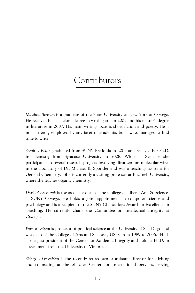## <span id="page-36-0"></span>Contributors

*Matthew Bertram* is a graduate of the State University of New York at Oswego. He received his bachelor's degree in writing arts in 2005 and his master's degree in literature in 2007. His main writing focus is short fiction and poetry. He is not currently employed by any facet of academia, but always manages to find time to write.

*Sarah L. Bolton* graduated from SUNY Fredonia in 2003 and received her Ph.D. in chemistry from Syracuse University in 2008. While at Syracuse she participated in several research projects involving diruthenium molecular wires in the laboratory of Dr. Michael B. Sponsler and was a teaching assistant for General Chemistry. She is currently a visiting professor at Bucknell University, where she teaches organic chemistry.

*David Alan Bozak* is the associate dean of the College of Liberal Arts & Sciences at SUNY Oswego. He holds a joint appointment in computer science and psychology and is a recipient of the SUNY Chancellor's Award for Excellence in Teaching. He currently chairs the Committee on Intellectual Integrity at Oswego.

*Patrick Drinan* is professor of political science at the University of San Diego and was dean of the College of Arts and Sciences, USD, from 1989 to 2006. He is also a past president of the Center for Academic Integrity and holds a Ph.D. in government from the University of Virginia.

*Sidney L. Greenblatt* is the recently retired senior assistant director for advising and counseling at the Slutzker Center for International Services, serving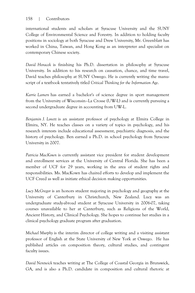#### 158 | Contributors

international students and scholars at Syracuse University and the SUNY College of Environmental Science and Forestry. In addition to holding faculty positions in sociology at both Syracuse and Drew University, Mr. Greenblatt has worked in China, Taiwan, and Hong Kong as an interpreter and specialist on contemporary Chinese society.

*David Horacek* is finishing his Ph.D. dissertation in philosophy at Syracuse University. In addition to his research on causation, chance, and time travel, David teaches philosophy at SUNY Oswego. He is currently writing the manuscript of a textbook tentatively titled *Critical Thinking for the Information Age*.

*Karrie Lamers* has earned a bachelor's of science degree in sport management from the University of Wisconsin–La Crosse (UW-L) and is currently pursuing a second undergraduate degree in accounting from UW-L.

*Benjamin J. Lovett* is an assistant professor of psychology at Elmira College in Elmira, NY. He teaches classes on a variety of topics in psychology, and his research interests include educational assessment, psychiatric diagnosis, and the history of psychology. Ben earned a Ph.D. in school psychology from Syracuse University in 2007.

*Patricia MacKown* is currently assistant vice president for student development and enrollment services at the University of Central Florida. She has been a member of UCF for 29 years, working in the area of student rights and responsibilities. Ms. MacKown has chaired efforts to develop and implement the UCF Creed as well as initiate ethical decision making opportunities.

*Lucy McGregor* is an honors student majoring in psychology and geography at the University of Canterbury in Christchurch, New Zealand. Lucy was an undergraduate study-abroad student at Syracuse University in 2006-07, taking courses unavailable to her at Canterbury, such as Religions of the World, Ancient History, and Clinical Psychology. She hopes to continue her studies in a clinical psychology graduate program after graduation.

*Michael Murphy* is the interim director of college writing and a visiting assistant professor of English at the State University of New York at Oswego. He has published articles on composition theory, cultural studies, and contingent faculty issues.

*David Nentwick* teaches writing at The College of Coastal Georgia in Brunswick, GA, and is also a Ph.D. candidate in composition and cultural rhetoric at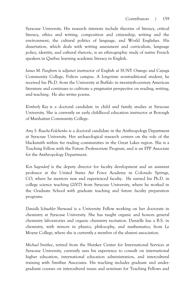Syracuse University. His research interests include theories of literacy, critical literacy, ethics and writing, composition and citizenship, writing and the environment, the cultural politics of language, and World Englishes. His dissertation, which deals with writing assessment and curriculum, language policy, identity, and cultural rhetoric, is an ethnographic study of native French speakers in Québec learning academic literacy in English.

*James M. Pangborn* is adjunct instructor of English at SUNY Oswego and Cayuga Community College, Fulton campus. A long-time nontraditional student, he received his Ph.D. from the University at Buffalo in twentieth-century American literature and continues to cultivate a pragmatist perspective on reading, writing, and teaching. He also writes poems.

*Kimberly Ray* is a doctoral candidate in child and family studies at Syracuse University. She is currently an early childhood education instructor at Borough of Manhattan Community College.

*Amy S. Roache-Fedchenko* is a doctoral candidate in the Anthropology Department at Syracuse University. Her archaeological research centers on the role of the blacksmith within fur trading communities in the Great Lakes region. She is a Teaching Fellow with the Future Professoriate Program, and is an FPP Associate for the Anthropology Department.

*Ken Sagendorf* is the deputy director for faculty development and an assistant professor at the United States Air Force Academy in Colorado Springs, CO, where he mentors new and experienced faculty. He earned his Ph.D. in college science teaching (2007) from Syracuse University, where he worked in the Graduate School with graduate teaching and future faculty preparation programs.

*Danielle Schuehler Sherwood* is a University Fellow working on her doctorate in chemistry at Syracuse University. She has taught organic and honors general chemistry laboratories and organic chemistry recitation. Danielle has a B.S. in chemistry, with minors in physics, philosophy, and mathematics, from Le Moyne College, where she is currently a member of the alumni association.

*Michael Smithee*, retired from the Slutzker Center for International Services at Syracuse University, currently uses his experience to consult on international higher education, international education administration, and intercultural training with Smithee Associates. His teaching includes graduate and undergraduate courses on intercultural issues and seminars for Teaching Fellows and